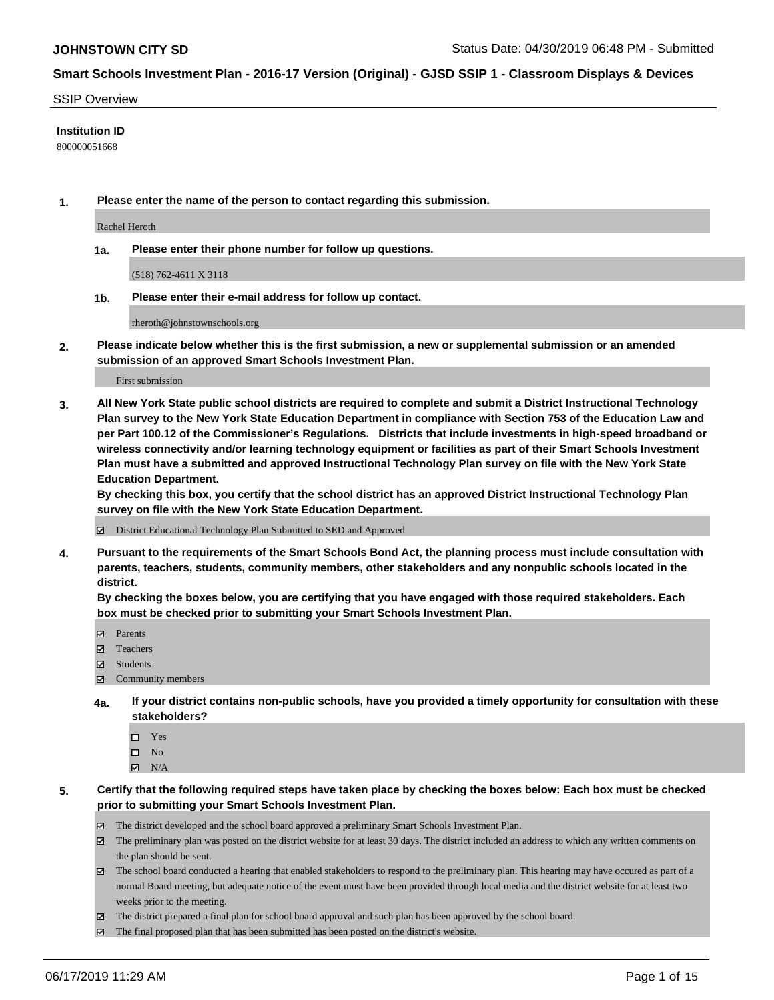#### SSIP Overview

### **Institution ID**

800000051668

**1. Please enter the name of the person to contact regarding this submission.**

Rachel Heroth

**1a. Please enter their phone number for follow up questions.**

(518) 762-4611 X 3118

**1b. Please enter their e-mail address for follow up contact.**

rheroth@johnstownschools.org

**2. Please indicate below whether this is the first submission, a new or supplemental submission or an amended submission of an approved Smart Schools Investment Plan.**

First submission

**3. All New York State public school districts are required to complete and submit a District Instructional Technology Plan survey to the New York State Education Department in compliance with Section 753 of the Education Law and per Part 100.12 of the Commissioner's Regulations. Districts that include investments in high-speed broadband or wireless connectivity and/or learning technology equipment or facilities as part of their Smart Schools Investment Plan must have a submitted and approved Instructional Technology Plan survey on file with the New York State Education Department.** 

**By checking this box, you certify that the school district has an approved District Instructional Technology Plan survey on file with the New York State Education Department.**

District Educational Technology Plan Submitted to SED and Approved

**4. Pursuant to the requirements of the Smart Schools Bond Act, the planning process must include consultation with parents, teachers, students, community members, other stakeholders and any nonpublic schools located in the district.** 

**By checking the boxes below, you are certifying that you have engaged with those required stakeholders. Each box must be checked prior to submitting your Smart Schools Investment Plan.**

- Parents
- Teachers
- Students
- Community members
- **4a. If your district contains non-public schools, have you provided a timely opportunity for consultation with these stakeholders?**
	- □ Yes
	- $\square$  No
	- $N/A$

**5. Certify that the following required steps have taken place by checking the boxes below: Each box must be checked prior to submitting your Smart Schools Investment Plan.**

- The district developed and the school board approved a preliminary Smart Schools Investment Plan.
- $\boxtimes$  The preliminary plan was posted on the district website for at least 30 days. The district included an address to which any written comments on the plan should be sent.
- $\boxtimes$  The school board conducted a hearing that enabled stakeholders to respond to the preliminary plan. This hearing may have occured as part of a normal Board meeting, but adequate notice of the event must have been provided through local media and the district website for at least two weeks prior to the meeting.
- The district prepared a final plan for school board approval and such plan has been approved by the school board.
- $\boxtimes$  The final proposed plan that has been submitted has been posted on the district's website.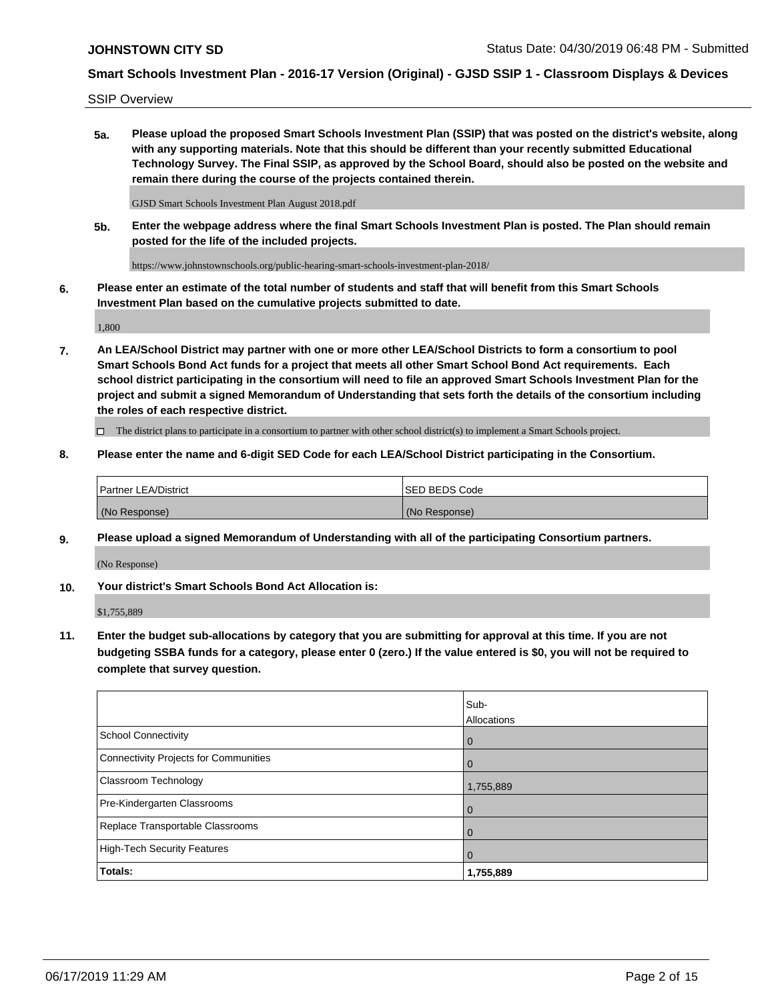SSIP Overview

**5a. Please upload the proposed Smart Schools Investment Plan (SSIP) that was posted on the district's website, along with any supporting materials. Note that this should be different than your recently submitted Educational Technology Survey. The Final SSIP, as approved by the School Board, should also be posted on the website and remain there during the course of the projects contained therein.**

GJSD Smart Schools Investment Plan August 2018.pdf

**5b. Enter the webpage address where the final Smart Schools Investment Plan is posted. The Plan should remain posted for the life of the included projects.**

https://www.johnstownschools.org/public-hearing-smart-schools-investment-plan-2018/

**6. Please enter an estimate of the total number of students and staff that will benefit from this Smart Schools Investment Plan based on the cumulative projects submitted to date.**

1,800

**7. An LEA/School District may partner with one or more other LEA/School Districts to form a consortium to pool Smart Schools Bond Act funds for a project that meets all other Smart School Bond Act requirements. Each school district participating in the consortium will need to file an approved Smart Schools Investment Plan for the project and submit a signed Memorandum of Understanding that sets forth the details of the consortium including the roles of each respective district.**

 $\Box$  The district plans to participate in a consortium to partner with other school district(s) to implement a Smart Schools project.

### **8. Please enter the name and 6-digit SED Code for each LEA/School District participating in the Consortium.**

| <b>Partner LEA/District</b> | <b>ISED BEDS Code</b> |
|-----------------------------|-----------------------|
| (No Response)               | (No Response)         |

#### **9. Please upload a signed Memorandum of Understanding with all of the participating Consortium partners.**

(No Response)

**10. Your district's Smart Schools Bond Act Allocation is:**

\$1,755,889

**11. Enter the budget sub-allocations by category that you are submitting for approval at this time. If you are not budgeting SSBA funds for a category, please enter 0 (zero.) If the value entered is \$0, you will not be required to complete that survey question.**

|                                       | Sub-<br><b>Allocations</b> |
|---------------------------------------|----------------------------|
| <b>School Connectivity</b>            | $\mathbf 0$                |
| Connectivity Projects for Communities | $\overline{0}$             |
| <b>Classroom Technology</b>           | 1,755,889                  |
| Pre-Kindergarten Classrooms           | 0                          |
| Replace Transportable Classrooms      | $\Omega$                   |
| High-Tech Security Features           | $\Omega$                   |
| Totals:                               | 1,755,889                  |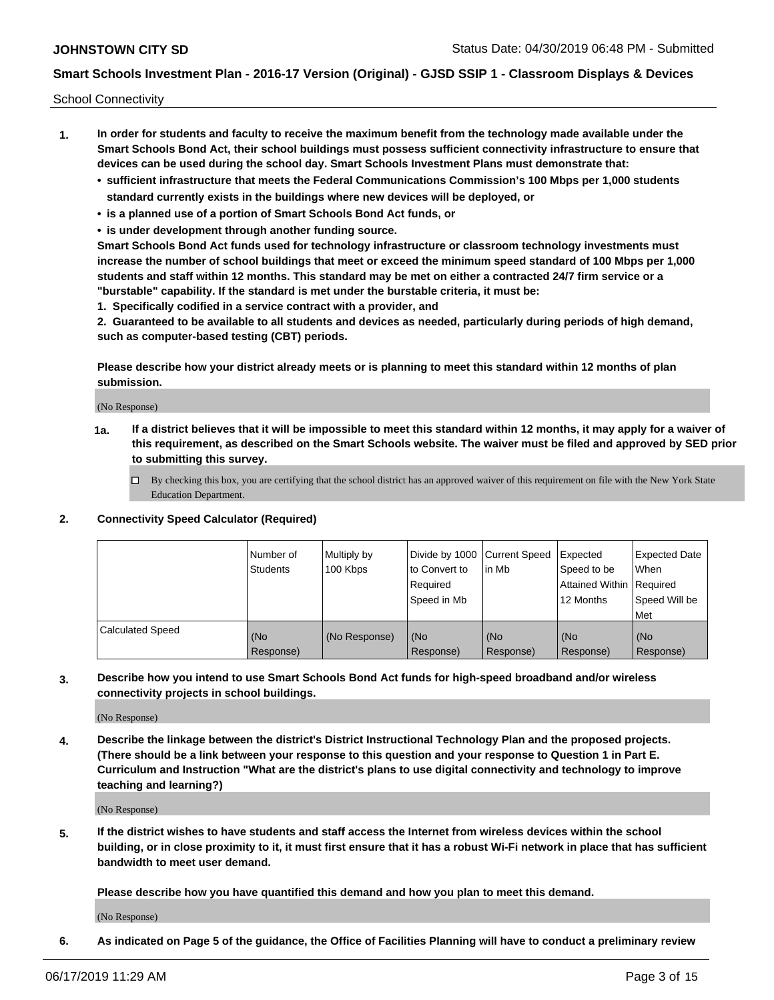School Connectivity

- **1. In order for students and faculty to receive the maximum benefit from the technology made available under the Smart Schools Bond Act, their school buildings must possess sufficient connectivity infrastructure to ensure that devices can be used during the school day. Smart Schools Investment Plans must demonstrate that:**
	- **• sufficient infrastructure that meets the Federal Communications Commission's 100 Mbps per 1,000 students standard currently exists in the buildings where new devices will be deployed, or**
	- **• is a planned use of a portion of Smart Schools Bond Act funds, or**
	- **• is under development through another funding source.**

**Smart Schools Bond Act funds used for technology infrastructure or classroom technology investments must increase the number of school buildings that meet or exceed the minimum speed standard of 100 Mbps per 1,000 students and staff within 12 months. This standard may be met on either a contracted 24/7 firm service or a "burstable" capability. If the standard is met under the burstable criteria, it must be:**

**1. Specifically codified in a service contract with a provider, and**

**2. Guaranteed to be available to all students and devices as needed, particularly during periods of high demand, such as computer-based testing (CBT) periods.**

**Please describe how your district already meets or is planning to meet this standard within 12 months of plan submission.**

(No Response)

**1a. If a district believes that it will be impossible to meet this standard within 12 months, it may apply for a waiver of this requirement, as described on the Smart Schools website. The waiver must be filed and approved by SED prior to submitting this survey.**

 $\Box$  By checking this box, you are certifying that the school district has an approved waiver of this requirement on file with the New York State Education Department.

#### **2. Connectivity Speed Calculator (Required)**

|                         | l Number of<br><b>Students</b> | Multiply by<br>100 Kbps | Divide by 1000 Current Speed<br>to Convert to<br>Required<br>l Speed in Mb | lin Mb           | Expected<br>Speed to be<br>Attained Within   Required<br>12 Months | <b>Expected Date</b><br>When<br>Speed Will be<br>Met |
|-------------------------|--------------------------------|-------------------------|----------------------------------------------------------------------------|------------------|--------------------------------------------------------------------|------------------------------------------------------|
| <b>Calculated Speed</b> | (No<br>Response)               | (No Response)           | (No<br>Response)                                                           | (No<br>Response) | (No<br>Response)                                                   | (No<br>Response)                                     |

**3. Describe how you intend to use Smart Schools Bond Act funds for high-speed broadband and/or wireless connectivity projects in school buildings.**

(No Response)

**4. Describe the linkage between the district's District Instructional Technology Plan and the proposed projects. (There should be a link between your response to this question and your response to Question 1 in Part E. Curriculum and Instruction "What are the district's plans to use digital connectivity and technology to improve teaching and learning?)**

(No Response)

**5. If the district wishes to have students and staff access the Internet from wireless devices within the school building, or in close proximity to it, it must first ensure that it has a robust Wi-Fi network in place that has sufficient bandwidth to meet user demand.**

**Please describe how you have quantified this demand and how you plan to meet this demand.**

(No Response)

**6. As indicated on Page 5 of the guidance, the Office of Facilities Planning will have to conduct a preliminary review**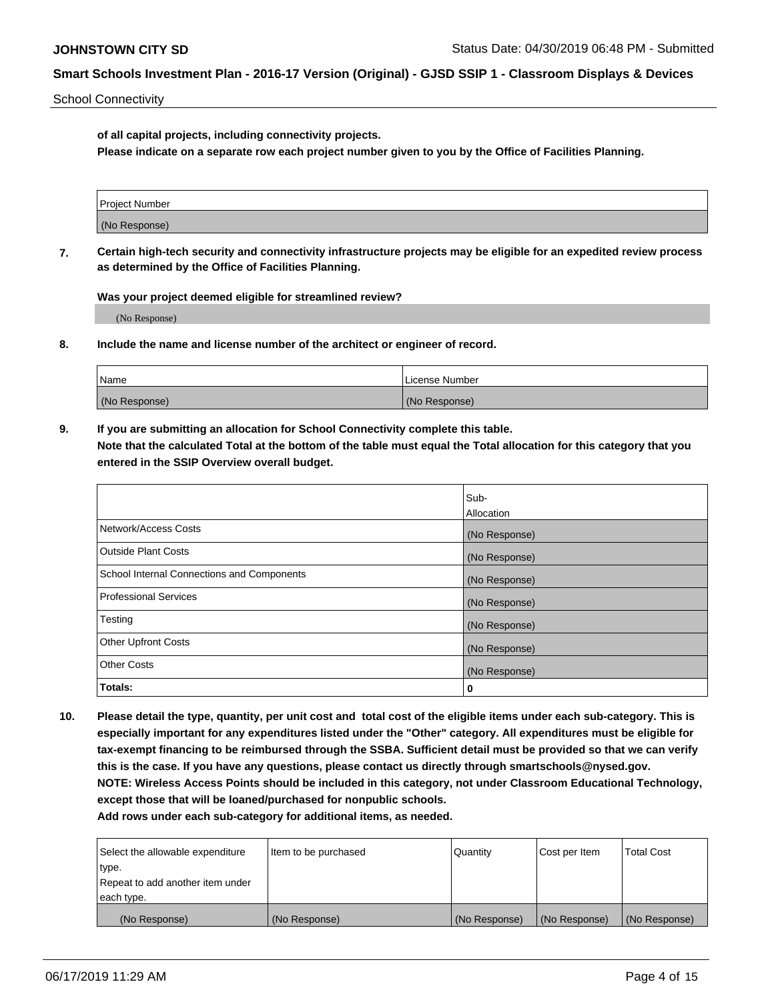School Connectivity

**of all capital projects, including connectivity projects.**

**Please indicate on a separate row each project number given to you by the Office of Facilities Planning.**

| Project Number |  |
|----------------|--|
|                |  |
| (No Response)  |  |
|                |  |

**7. Certain high-tech security and connectivity infrastructure projects may be eligible for an expedited review process as determined by the Office of Facilities Planning.**

**Was your project deemed eligible for streamlined review?**

(No Response)

**8. Include the name and license number of the architect or engineer of record.**

| Name          | License Number |
|---------------|----------------|
| (No Response) | (No Response)  |

**9. If you are submitting an allocation for School Connectivity complete this table. Note that the calculated Total at the bottom of the table must equal the Total allocation for this category that you entered in the SSIP Overview overall budget.** 

|                                            | Sub-              |
|--------------------------------------------|-------------------|
|                                            | <b>Allocation</b> |
| Network/Access Costs                       | (No Response)     |
| <b>Outside Plant Costs</b>                 | (No Response)     |
| School Internal Connections and Components | (No Response)     |
| <b>Professional Services</b>               | (No Response)     |
| Testing                                    | (No Response)     |
| <b>Other Upfront Costs</b>                 | (No Response)     |
| <b>Other Costs</b>                         | (No Response)     |
| Totals:                                    | 0                 |

**10. Please detail the type, quantity, per unit cost and total cost of the eligible items under each sub-category. This is especially important for any expenditures listed under the "Other" category. All expenditures must be eligible for tax-exempt financing to be reimbursed through the SSBA. Sufficient detail must be provided so that we can verify this is the case. If you have any questions, please contact us directly through smartschools@nysed.gov. NOTE: Wireless Access Points should be included in this category, not under Classroom Educational Technology, except those that will be loaned/purchased for nonpublic schools.**

| Select the allowable expenditure | Item to be purchased | Quantity      | Cost per Item | <b>Total Cost</b> |
|----------------------------------|----------------------|---------------|---------------|-------------------|
| type.                            |                      |               |               |                   |
| Repeat to add another item under |                      |               |               |                   |
| each type.                       |                      |               |               |                   |
| (No Response)                    | (No Response)        | (No Response) | (No Response) | (No Response)     |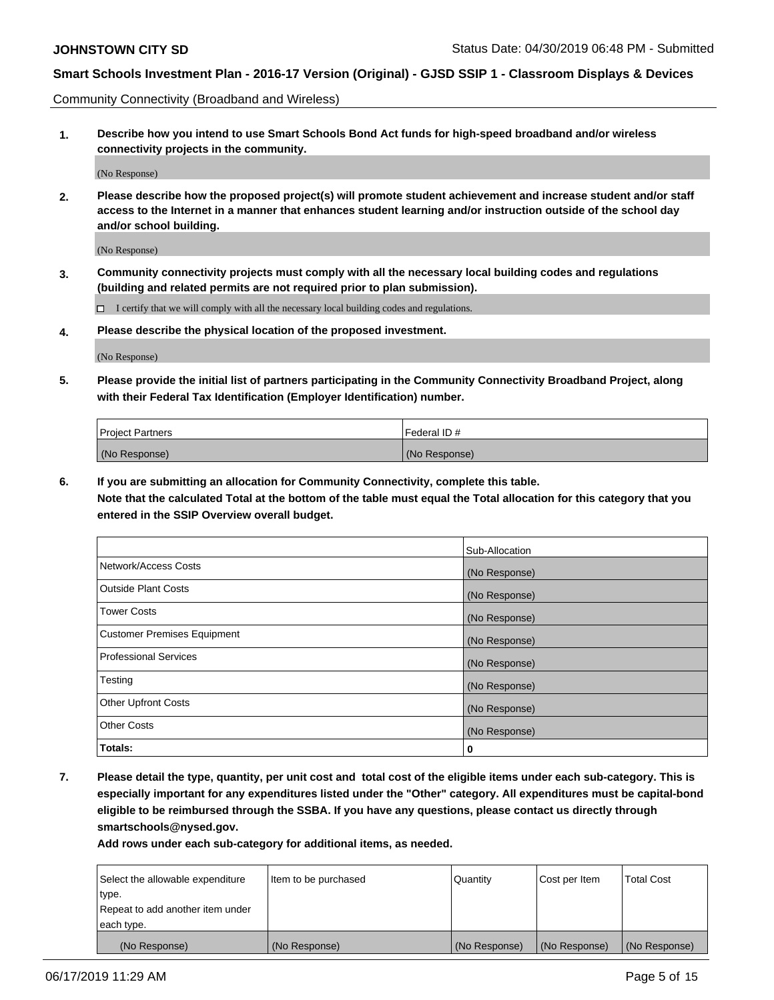Community Connectivity (Broadband and Wireless)

**1. Describe how you intend to use Smart Schools Bond Act funds for high-speed broadband and/or wireless connectivity projects in the community.**

(No Response)

**2. Please describe how the proposed project(s) will promote student achievement and increase student and/or staff access to the Internet in a manner that enhances student learning and/or instruction outside of the school day and/or school building.**

(No Response)

**3. Community connectivity projects must comply with all the necessary local building codes and regulations (building and related permits are not required prior to plan submission).**

 $\Box$  I certify that we will comply with all the necessary local building codes and regulations.

**4. Please describe the physical location of the proposed investment.**

(No Response)

**5. Please provide the initial list of partners participating in the Community Connectivity Broadband Project, along with their Federal Tax Identification (Employer Identification) number.**

| <b>Project Partners</b> | l Federal ID # |
|-------------------------|----------------|
| (No Response)           | (No Response)  |

**6. If you are submitting an allocation for Community Connectivity, complete this table.**

**Note that the calculated Total at the bottom of the table must equal the Total allocation for this category that you entered in the SSIP Overview overall budget.**

|                                    | Sub-Allocation |
|------------------------------------|----------------|
| Network/Access Costs               | (No Response)  |
| <b>Outside Plant Costs</b>         | (No Response)  |
| <b>Tower Costs</b>                 | (No Response)  |
| <b>Customer Premises Equipment</b> | (No Response)  |
| <b>Professional Services</b>       | (No Response)  |
| Testing                            | (No Response)  |
| <b>Other Upfront Costs</b>         | (No Response)  |
| <b>Other Costs</b>                 | (No Response)  |
| Totals:                            | 0              |

**7. Please detail the type, quantity, per unit cost and total cost of the eligible items under each sub-category. This is especially important for any expenditures listed under the "Other" category. All expenditures must be capital-bond eligible to be reimbursed through the SSBA. If you have any questions, please contact us directly through smartschools@nysed.gov.**

| Select the allowable expenditure | Item to be purchased | Quantity      | Cost per Item | <b>Total Cost</b> |
|----------------------------------|----------------------|---------------|---------------|-------------------|
| type.                            |                      |               |               |                   |
| Repeat to add another item under |                      |               |               |                   |
| each type.                       |                      |               |               |                   |
| (No Response)                    | (No Response)        | (No Response) | (No Response) | (No Response)     |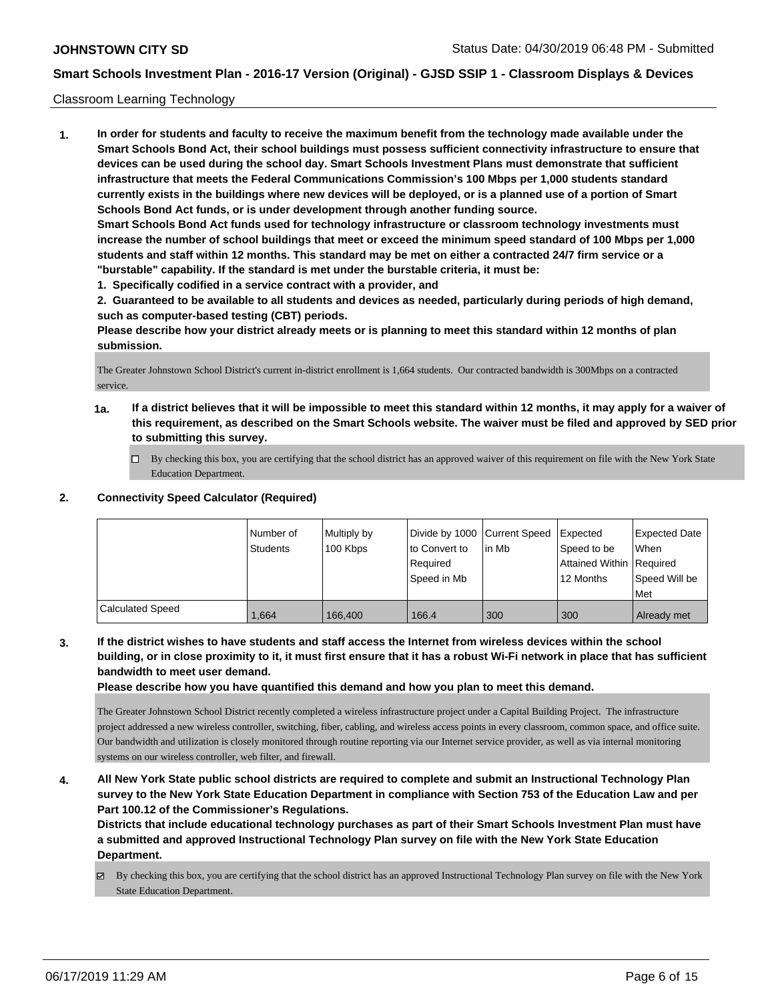### Classroom Learning Technology

**1. In order for students and faculty to receive the maximum benefit from the technology made available under the Smart Schools Bond Act, their school buildings must possess sufficient connectivity infrastructure to ensure that devices can be used during the school day. Smart Schools Investment Plans must demonstrate that sufficient infrastructure that meets the Federal Communications Commission's 100 Mbps per 1,000 students standard currently exists in the buildings where new devices will be deployed, or is a planned use of a portion of Smart Schools Bond Act funds, or is under development through another funding source. Smart Schools Bond Act funds used for technology infrastructure or classroom technology investments must increase the number of school buildings that meet or exceed the minimum speed standard of 100 Mbps per 1,000 students and staff within 12 months. This standard may be met on either a contracted 24/7 firm service or a "burstable" capability. If the standard is met under the burstable criteria, it must be:**

**1. Specifically codified in a service contract with a provider, and**

**2. Guaranteed to be available to all students and devices as needed, particularly during periods of high demand, such as computer-based testing (CBT) periods.**

**Please describe how your district already meets or is planning to meet this standard within 12 months of plan submission.**

The Greater Johnstown School District's current in-district enrollment is 1,664 students. Our contracted bandwidth is 300Mbps on a contracted service.

- **1a. If a district believes that it will be impossible to meet this standard within 12 months, it may apply for a waiver of this requirement, as described on the Smart Schools website. The waiver must be filed and approved by SED prior to submitting this survey.**
	- By checking this box, you are certifying that the school district has an approved waiver of this requirement on file with the New York State Education Department.

## **2. Connectivity Speed Calculator (Required)**

|                         | Number of       | Multiply by | Divide by 1000 Current Speed |        | Expected                 | <b>Expected Date</b> |
|-------------------------|-----------------|-------------|------------------------------|--------|--------------------------|----------------------|
|                         | <b>Students</b> | 100 Kbps    | to Convert to                | lin Mb | Speed to be              | When                 |
|                         |                 |             | Required                     |        | Attained Within Required |                      |
|                         |                 |             | Speed in Mb                  |        | 12 Months                | Speed Will be        |
|                         |                 |             |                              |        |                          | Met                  |
| <b>Calculated Speed</b> | 1.664           | 166.400     | 166.4                        | 300    | 300                      | Already met          |

**3. If the district wishes to have students and staff access the Internet from wireless devices within the school building, or in close proximity to it, it must first ensure that it has a robust Wi-Fi network in place that has sufficient bandwidth to meet user demand.**

**Please describe how you have quantified this demand and how you plan to meet this demand.**

The Greater Johnstown School District recently completed a wireless infrastructure project under a Capital Building Project. The infrastructure project addressed a new wireless controller, switching, fiber, cabling, and wireless access points in every classroom, common space, and office suite. Our bandwidth and utilization is closely monitored through routine reporting via our Internet service provider, as well as via internal monitoring systems on our wireless controller, web filter, and firewall.

**4. All New York State public school districts are required to complete and submit an Instructional Technology Plan survey to the New York State Education Department in compliance with Section 753 of the Education Law and per Part 100.12 of the Commissioner's Regulations.**

**Districts that include educational technology purchases as part of their Smart Schools Investment Plan must have a submitted and approved Instructional Technology Plan survey on file with the New York State Education Department.**

By checking this box, you are certifying that the school district has an approved Instructional Technology Plan survey on file with the New York State Education Department.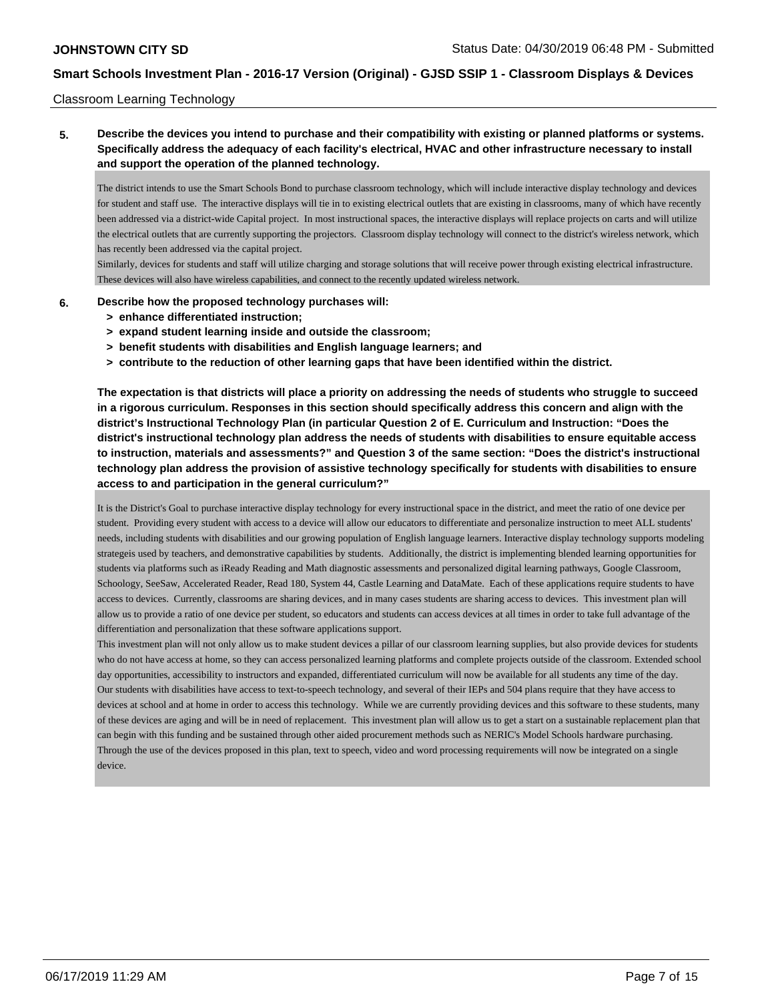### Classroom Learning Technology

## **5. Describe the devices you intend to purchase and their compatibility with existing or planned platforms or systems. Specifically address the adequacy of each facility's electrical, HVAC and other infrastructure necessary to install and support the operation of the planned technology.**

The district intends to use the Smart Schools Bond to purchase classroom technology, which will include interactive display technology and devices for student and staff use. The interactive displays will tie in to existing electrical outlets that are existing in classrooms, many of which have recently been addressed via a district-wide Capital project. In most instructional spaces, the interactive displays will replace projects on carts and will utilize the electrical outlets that are currently supporting the projectors. Classroom display technology will connect to the district's wireless network, which has recently been addressed via the capital project.

Similarly, devices for students and staff will utilize charging and storage solutions that will receive power through existing electrical infrastructure. These devices will also have wireless capabilities, and connect to the recently updated wireless network.

#### **6. Describe how the proposed technology purchases will:**

- **> enhance differentiated instruction;**
- **> expand student learning inside and outside the classroom;**
- **> benefit students with disabilities and English language learners; and**
- **> contribute to the reduction of other learning gaps that have been identified within the district.**

**The expectation is that districts will place a priority on addressing the needs of students who struggle to succeed in a rigorous curriculum. Responses in this section should specifically address this concern and align with the district's Instructional Technology Plan (in particular Question 2 of E. Curriculum and Instruction: "Does the district's instructional technology plan address the needs of students with disabilities to ensure equitable access to instruction, materials and assessments?" and Question 3 of the same section: "Does the district's instructional technology plan address the provision of assistive technology specifically for students with disabilities to ensure access to and participation in the general curriculum?"**

It is the District's Goal to purchase interactive display technology for every instructional space in the district, and meet the ratio of one device per student. Providing every student with access to a device will allow our educators to differentiate and personalize instruction to meet ALL students' needs, including students with disabilities and our growing population of English language learners. Interactive display technology supports modeling strategeis used by teachers, and demonstrative capabilities by students. Additionally, the district is implementing blended learning opportunities for students via platforms such as iReady Reading and Math diagnostic assessments and personalized digital learning pathways, Google Classroom, Schoology, SeeSaw, Accelerated Reader, Read 180, System 44, Castle Learning and DataMate. Each of these applications require students to have access to devices. Currently, classrooms are sharing devices, and in many cases students are sharing access to devices. This investment plan will allow us to provide a ratio of one device per student, so educators and students can access devices at all times in order to take full advantage of the differentiation and personalization that these software applications support.

This investment plan will not only allow us to make student devices a pillar of our classroom learning supplies, but also provide devices for students who do not have access at home, so they can access personalized learning platforms and complete projects outside of the classroom. Extended school day opportunities, accessibility to instructors and expanded, differentiated curriculum will now be available for all students any time of the day. Our students with disabilities have access to text-to-speech technology, and several of their IEPs and 504 plans require that they have access to devices at school and at home in order to access this technology. While we are currently providing devices and this software to these students, many of these devices are aging and will be in need of replacement. This investment plan will allow us to get a start on a sustainable replacement plan that can begin with this funding and be sustained through other aided procurement methods such as NERIC's Model Schools hardware purchasing. Through the use of the devices proposed in this plan, text to speech, video and word processing requirements will now be integrated on a single device.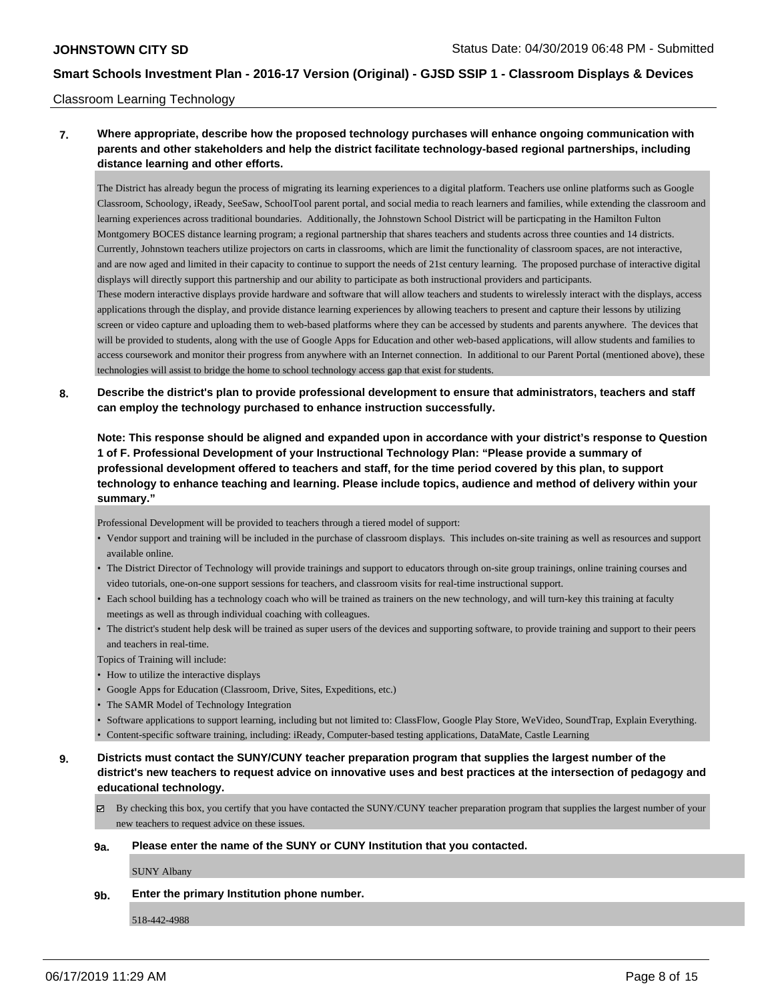#### Classroom Learning Technology

## **7. Where appropriate, describe how the proposed technology purchases will enhance ongoing communication with parents and other stakeholders and help the district facilitate technology-based regional partnerships, including distance learning and other efforts.**

The District has already begun the process of migrating its learning experiences to a digital platform. Teachers use online platforms such as Google Classroom, Schoology, iReady, SeeSaw, SchoolTool parent portal, and social media to reach learners and families, while extending the classroom and learning experiences across traditional boundaries. Additionally, the Johnstown School District will be particpating in the Hamilton Fulton Montgomery BOCES distance learning program; a regional partnership that shares teachers and students across three counties and 14 districts. Currently, Johnstown teachers utilize projectors on carts in classrooms, which are limit the functionality of classroom spaces, are not interactive, and are now aged and limited in their capacity to continue to support the needs of 21st century learning. The proposed purchase of interactive digital displays will directly support this partnership and our ability to participate as both instructional providers and participants. These modern interactive displays provide hardware and software that will allow teachers and students to wirelessly interact with the displays, access applications through the display, and provide distance learning experiences by allowing teachers to present and capture their lessons by utilizing screen or video capture and uploading them to web-based platforms where they can be accessed by students and parents anywhere. The devices that will be provided to students, along with the use of Google Apps for Education and other web-based applications, will allow students and families to access coursework and monitor their progress from anywhere with an Internet connection. In additional to our Parent Portal (mentioned above), these

**8. Describe the district's plan to provide professional development to ensure that administrators, teachers and staff can employ the technology purchased to enhance instruction successfully.**

**Note: This response should be aligned and expanded upon in accordance with your district's response to Question 1 of F. Professional Development of your Instructional Technology Plan: "Please provide a summary of professional development offered to teachers and staff, for the time period covered by this plan, to support technology to enhance teaching and learning. Please include topics, audience and method of delivery within your summary."**

Professional Development will be provided to teachers through a tiered model of support:

technologies will assist to bridge the home to school technology access gap that exist for students.

- Vendor support and training will be included in the purchase of classroom displays. This includes on-site training as well as resources and support available online.
- The District Director of Technology will provide trainings and support to educators through on-site group trainings, online training courses and video tutorials, one-on-one support sessions for teachers, and classroom visits for real-time instructional support.
- Each school building has a technology coach who will be trained as trainers on the new technology, and will turn-key this training at faculty meetings as well as through individual coaching with colleagues.
- The district's student help desk will be trained as super users of the devices and supporting software, to provide training and support to their peers and teachers in real-time.

Topics of Training will include:

- How to utilize the interactive displays
- Google Apps for Education (Classroom, Drive, Sites, Expeditions, etc.)
- The SAMR Model of Technology Integration
- Software applications to support learning, including but not limited to: ClassFlow, Google Play Store, WeVideo, SoundTrap, Explain Everything.
- Content-specific software training, including: iReady, Computer-based testing applications, DataMate, Castle Learning
- **9. Districts must contact the SUNY/CUNY teacher preparation program that supplies the largest number of the district's new teachers to request advice on innovative uses and best practices at the intersection of pedagogy and educational technology.**
	- $\boxtimes$  By checking this box, you certify that you have contacted the SUNY/CUNY teacher preparation program that supplies the largest number of your new teachers to request advice on these issues.

#### **9a. Please enter the name of the SUNY or CUNY Institution that you contacted.**

SUNY Albany

**9b. Enter the primary Institution phone number.**

518-442-4988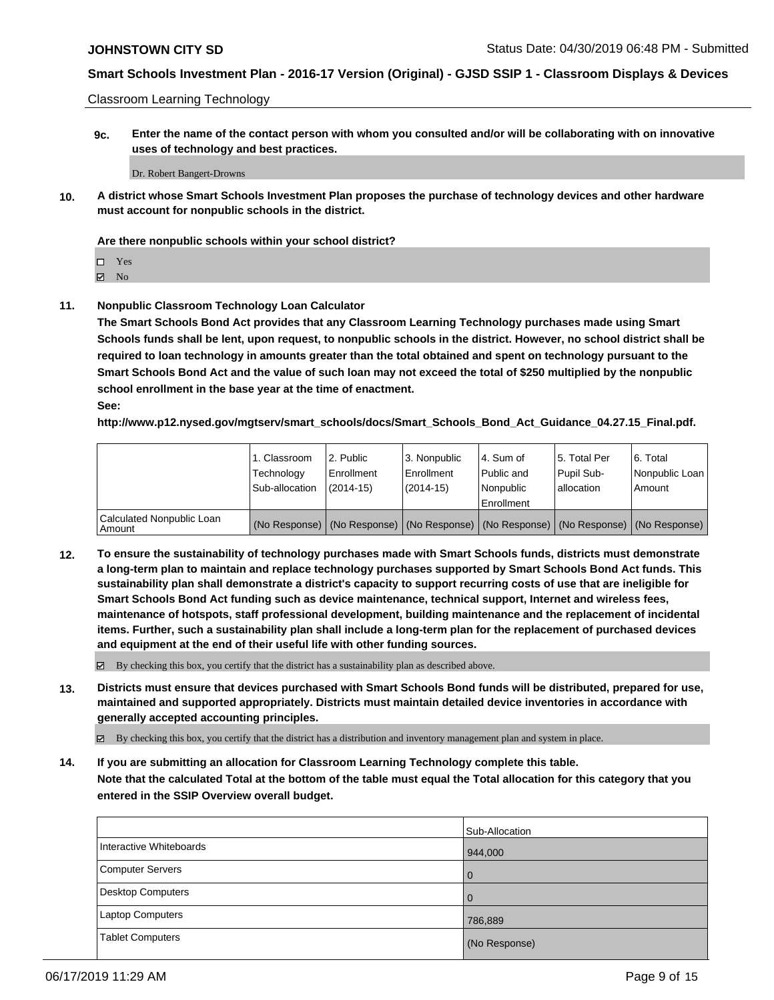Classroom Learning Technology

**9c. Enter the name of the contact person with whom you consulted and/or will be collaborating with on innovative uses of technology and best practices.**

Dr. Robert Bangert-Drowns

**10. A district whose Smart Schools Investment Plan proposes the purchase of technology devices and other hardware must account for nonpublic schools in the district.**

#### **Are there nonpublic schools within your school district?**

| Г<br>- |
|--------|
|        |

 $\boxtimes$  No

**11. Nonpublic Classroom Technology Loan Calculator**

**The Smart Schools Bond Act provides that any Classroom Learning Technology purchases made using Smart Schools funds shall be lent, upon request, to nonpublic schools in the district. However, no school district shall be required to loan technology in amounts greater than the total obtained and spent on technology pursuant to the Smart Schools Bond Act and the value of such loan may not exceed the total of \$250 multiplied by the nonpublic school enrollment in the base year at the time of enactment.**

**See:**

**http://www.p12.nysed.gov/mgtserv/smart\_schools/docs/Smart\_Schools\_Bond\_Act\_Guidance\_04.27.15\_Final.pdf.**

|                                       | 1. Classroom<br>Technology<br>Sub-allocation | 2. Public<br>Enrollment<br>(2014-15) | 3. Nonpublic<br>Enrollment<br>(2014-15) | 14. Sum of<br>Public and<br>l Nonpublic<br>Enrollment | l 5. Total Per<br>Pupil Sub-<br>allocation | 6. Total<br>Nonpublic Loan  <br>Amount                                                        |
|---------------------------------------|----------------------------------------------|--------------------------------------|-----------------------------------------|-------------------------------------------------------|--------------------------------------------|-----------------------------------------------------------------------------------------------|
| Calculated Nonpublic Loan<br>l Amount |                                              |                                      |                                         |                                                       |                                            | (No Response)   (No Response)   (No Response)   (No Response)   (No Response)   (No Response) |

**12. To ensure the sustainability of technology purchases made with Smart Schools funds, districts must demonstrate a long-term plan to maintain and replace technology purchases supported by Smart Schools Bond Act funds. This sustainability plan shall demonstrate a district's capacity to support recurring costs of use that are ineligible for Smart Schools Bond Act funding such as device maintenance, technical support, Internet and wireless fees, maintenance of hotspots, staff professional development, building maintenance and the replacement of incidental items. Further, such a sustainability plan shall include a long-term plan for the replacement of purchased devices and equipment at the end of their useful life with other funding sources.**

By checking this box, you certify that the district has a sustainability plan as described above.

**13. Districts must ensure that devices purchased with Smart Schools Bond funds will be distributed, prepared for use, maintained and supported appropriately. Districts must maintain detailed device inventories in accordance with generally accepted accounting principles.**

By checking this box, you certify that the district has a distribution and inventory management plan and system in place.

**14. If you are submitting an allocation for Classroom Learning Technology complete this table. Note that the calculated Total at the bottom of the table must equal the Total allocation for this category that you**

**entered in the SSIP Overview overall budget.**

|                          | Sub-Allocation |
|--------------------------|----------------|
| Interactive Whiteboards  | 944,000        |
| <b>Computer Servers</b>  | $\overline{0}$ |
| <b>Desktop Computers</b> | 0              |
| <b>Laptop Computers</b>  | 786,889        |
| <b>Tablet Computers</b>  | (No Response)  |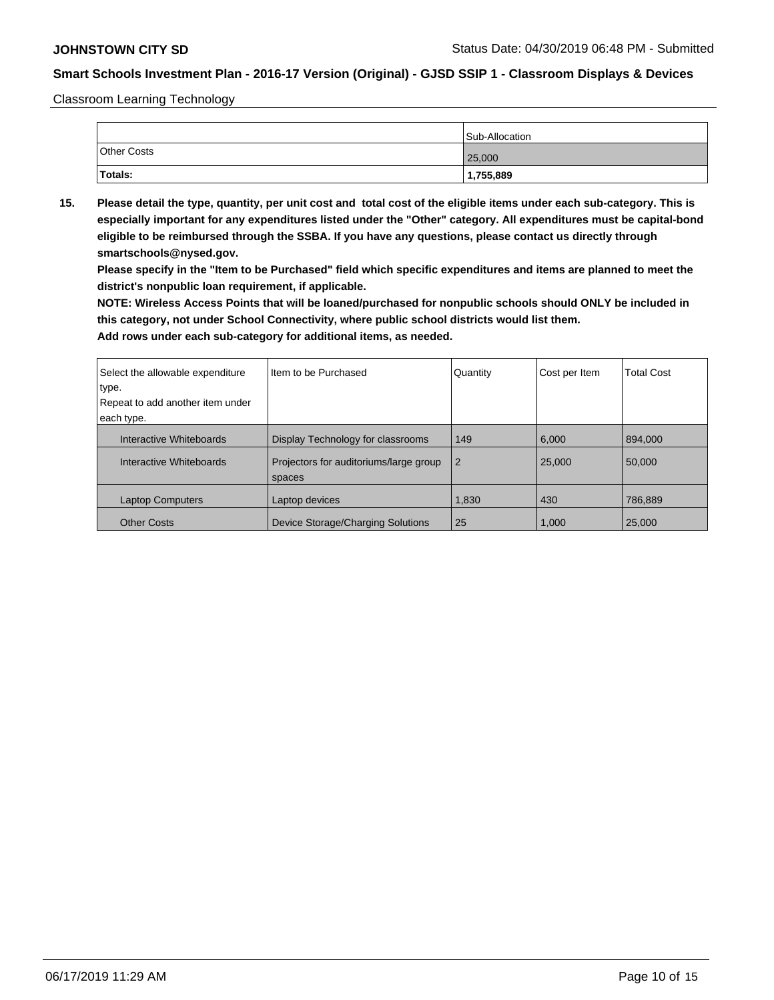Classroom Learning Technology

|                    | Sub-Allocation |
|--------------------|----------------|
| <b>Other Costs</b> | 25,000         |
| Totals:            | 1,755,889      |

**15. Please detail the type, quantity, per unit cost and total cost of the eligible items under each sub-category. This is especially important for any expenditures listed under the "Other" category. All expenditures must be capital-bond eligible to be reimbursed through the SSBA. If you have any questions, please contact us directly through smartschools@nysed.gov.**

**Please specify in the "Item to be Purchased" field which specific expenditures and items are planned to meet the district's nonpublic loan requirement, if applicable.**

**NOTE: Wireless Access Points that will be loaned/purchased for nonpublic schools should ONLY be included in this category, not under School Connectivity, where public school districts would list them.**

| Select the allowable expenditure<br>type.<br>Repeat to add another item under<br>each type. | I Item to be Purchased                           | Quantity       | Cost per Item | <b>Total Cost</b> |
|---------------------------------------------------------------------------------------------|--------------------------------------------------|----------------|---------------|-------------------|
| Interactive Whiteboards                                                                     | Display Technology for classrooms                | 149            | 6.000         | 894,000           |
| Interactive Whiteboards                                                                     | Projectors for auditoriums/large group<br>spaces | $\overline{2}$ | 25,000        | 50,000            |
| <b>Laptop Computers</b>                                                                     | Laptop devices                                   | 1,830          | 430           | 786,889           |
| <b>Other Costs</b>                                                                          | Device Storage/Charging Solutions                | 25             | 1.000         | 25,000            |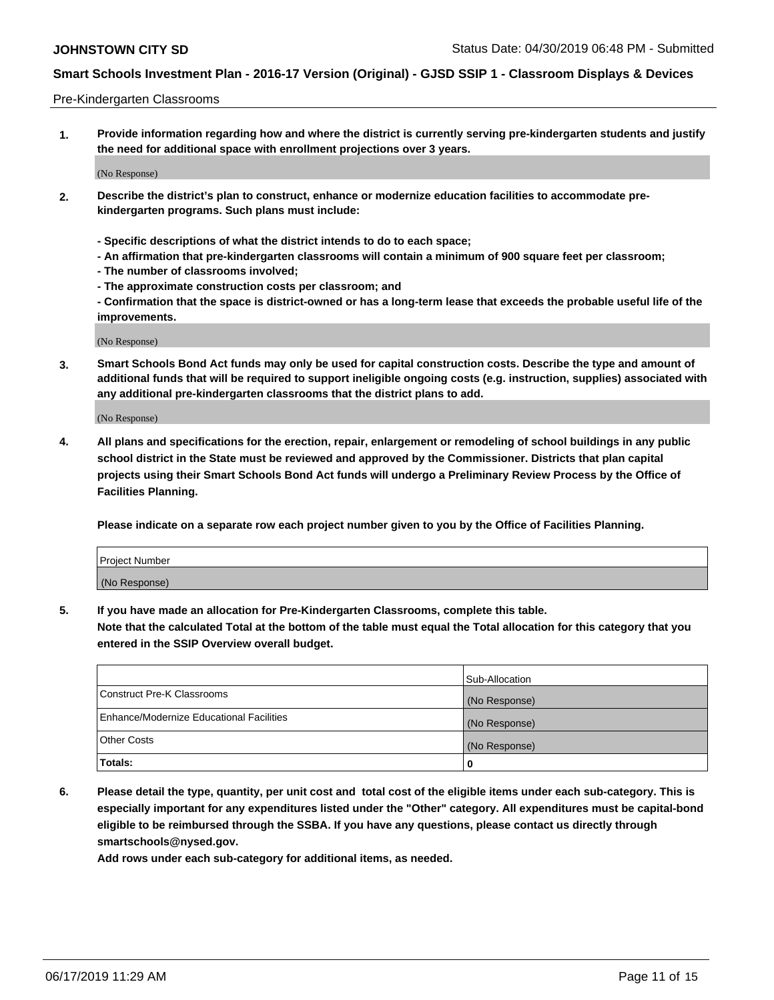#### Pre-Kindergarten Classrooms

**1. Provide information regarding how and where the district is currently serving pre-kindergarten students and justify the need for additional space with enrollment projections over 3 years.**

(No Response)

- **2. Describe the district's plan to construct, enhance or modernize education facilities to accommodate prekindergarten programs. Such plans must include:**
	- **Specific descriptions of what the district intends to do to each space;**
	- **An affirmation that pre-kindergarten classrooms will contain a minimum of 900 square feet per classroom;**
	- **The number of classrooms involved;**
	- **The approximate construction costs per classroom; and**
	- **Confirmation that the space is district-owned or has a long-term lease that exceeds the probable useful life of the improvements.**

(No Response)

**3. Smart Schools Bond Act funds may only be used for capital construction costs. Describe the type and amount of additional funds that will be required to support ineligible ongoing costs (e.g. instruction, supplies) associated with any additional pre-kindergarten classrooms that the district plans to add.**

(No Response)

**4. All plans and specifications for the erection, repair, enlargement or remodeling of school buildings in any public school district in the State must be reviewed and approved by the Commissioner. Districts that plan capital projects using their Smart Schools Bond Act funds will undergo a Preliminary Review Process by the Office of Facilities Planning.**

**Please indicate on a separate row each project number given to you by the Office of Facilities Planning.**

| Project Number |  |
|----------------|--|
| (No Response)  |  |
|                |  |

**5. If you have made an allocation for Pre-Kindergarten Classrooms, complete this table.**

**Note that the calculated Total at the bottom of the table must equal the Total allocation for this category that you entered in the SSIP Overview overall budget.**

|                                          | Sub-Allocation |
|------------------------------------------|----------------|
| Construct Pre-K Classrooms               | (No Response)  |
| Enhance/Modernize Educational Facilities | (No Response)  |
| <b>Other Costs</b>                       | (No Response)  |
| Totals:                                  | 0              |

**6. Please detail the type, quantity, per unit cost and total cost of the eligible items under each sub-category. This is especially important for any expenditures listed under the "Other" category. All expenditures must be capital-bond eligible to be reimbursed through the SSBA. If you have any questions, please contact us directly through smartschools@nysed.gov.**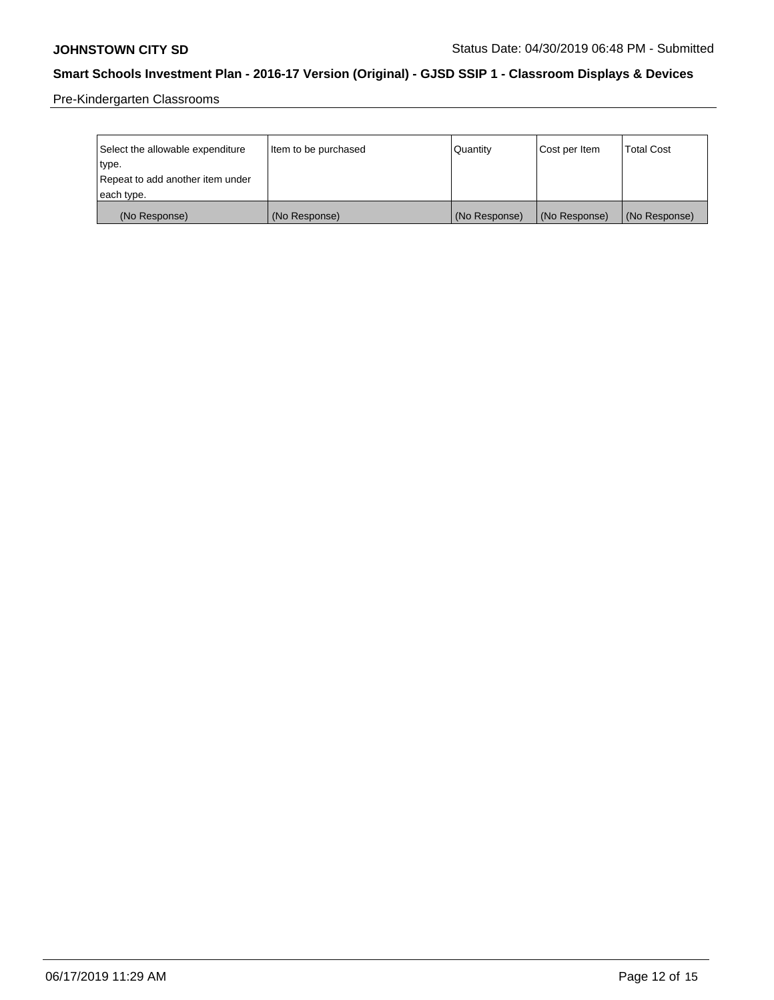Pre-Kindergarten Classrooms

| Select the allowable expenditure<br>type.      | Item to be purchased | Quantity      | Cost per Item | <b>Total Cost</b> |
|------------------------------------------------|----------------------|---------------|---------------|-------------------|
| Repeat to add another item under<br>each type. |                      |               |               |                   |
| (No Response)                                  | (No Response)        | (No Response) | (No Response) | (No Response)     |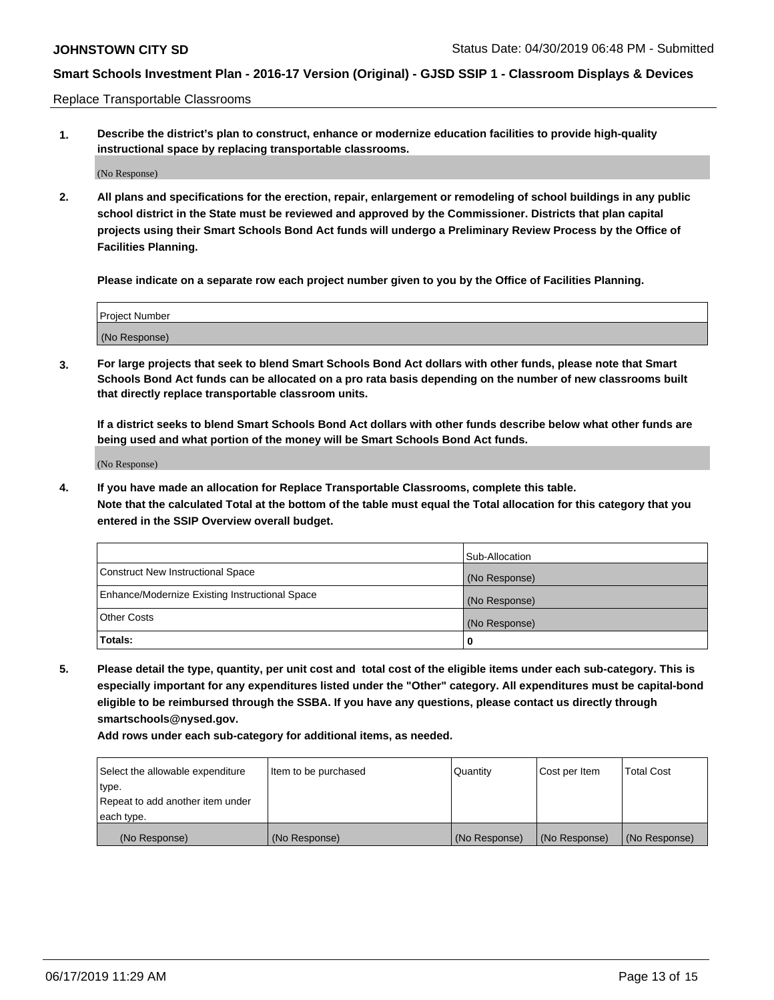Replace Transportable Classrooms

**1. Describe the district's plan to construct, enhance or modernize education facilities to provide high-quality instructional space by replacing transportable classrooms.**

(No Response)

**2. All plans and specifications for the erection, repair, enlargement or remodeling of school buildings in any public school district in the State must be reviewed and approved by the Commissioner. Districts that plan capital projects using their Smart Schools Bond Act funds will undergo a Preliminary Review Process by the Office of Facilities Planning.**

**Please indicate on a separate row each project number given to you by the Office of Facilities Planning.**

| Project Number |  |
|----------------|--|
|                |  |
|                |  |
|                |  |
|                |  |
| (No Response)  |  |
|                |  |
|                |  |
|                |  |

**3. For large projects that seek to blend Smart Schools Bond Act dollars with other funds, please note that Smart Schools Bond Act funds can be allocated on a pro rata basis depending on the number of new classrooms built that directly replace transportable classroom units.**

**If a district seeks to blend Smart Schools Bond Act dollars with other funds describe below what other funds are being used and what portion of the money will be Smart Schools Bond Act funds.**

(No Response)

**4. If you have made an allocation for Replace Transportable Classrooms, complete this table. Note that the calculated Total at the bottom of the table must equal the Total allocation for this category that you entered in the SSIP Overview overall budget.**

|                                                | Sub-Allocation |
|------------------------------------------------|----------------|
| Construct New Instructional Space              | (No Response)  |
| Enhance/Modernize Existing Instructional Space | (No Response)  |
| <b>Other Costs</b>                             | (No Response)  |
| Totals:                                        | 0              |

**5. Please detail the type, quantity, per unit cost and total cost of the eligible items under each sub-category. This is especially important for any expenditures listed under the "Other" category. All expenditures must be capital-bond eligible to be reimbursed through the SSBA. If you have any questions, please contact us directly through smartschools@nysed.gov.**

| Select the allowable expenditure | Item to be purchased | l Quantitv    | Cost per Item | <b>Total Cost</b> |
|----------------------------------|----------------------|---------------|---------------|-------------------|
| type.                            |                      |               |               |                   |
| Repeat to add another item under |                      |               |               |                   |
| each type.                       |                      |               |               |                   |
| (No Response)                    | (No Response)        | (No Response) | (No Response) | (No Response)     |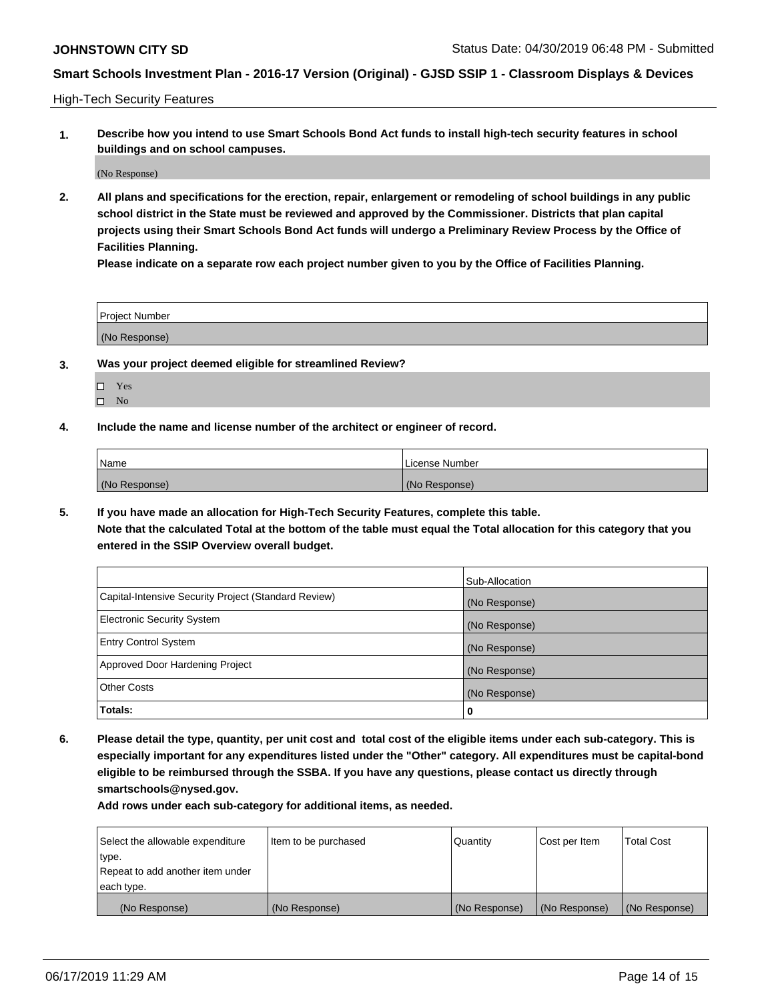High-Tech Security Features

**1. Describe how you intend to use Smart Schools Bond Act funds to install high-tech security features in school buildings and on school campuses.**

(No Response)

**2. All plans and specifications for the erection, repair, enlargement or remodeling of school buildings in any public school district in the State must be reviewed and approved by the Commissioner. Districts that plan capital projects using their Smart Schools Bond Act funds will undergo a Preliminary Review Process by the Office of Facilities Planning.** 

**Please indicate on a separate row each project number given to you by the Office of Facilities Planning.**

| <b>Project Number</b> |  |
|-----------------------|--|
| (No Response)         |  |

- **3. Was your project deemed eligible for streamlined Review?**
	- Yes
	- $\square$  No
- **4. Include the name and license number of the architect or engineer of record.**

| <b>Name</b>   | License Number |
|---------------|----------------|
| (No Response) | (No Response)  |

**5. If you have made an allocation for High-Tech Security Features, complete this table.**

**Note that the calculated Total at the bottom of the table must equal the Total allocation for this category that you entered in the SSIP Overview overall budget.**

|                                                      | Sub-Allocation |
|------------------------------------------------------|----------------|
| Capital-Intensive Security Project (Standard Review) | (No Response)  |
| <b>Electronic Security System</b>                    | (No Response)  |
| <b>Entry Control System</b>                          | (No Response)  |
| Approved Door Hardening Project                      | (No Response)  |
| <b>Other Costs</b>                                   | (No Response)  |
| Totals:                                              | 0              |

**6. Please detail the type, quantity, per unit cost and total cost of the eligible items under each sub-category. This is especially important for any expenditures listed under the "Other" category. All expenditures must be capital-bond eligible to be reimbursed through the SSBA. If you have any questions, please contact us directly through smartschools@nysed.gov.**

| Select the allowable expenditure | Item to be purchased | <b>Quantity</b> | Cost per Item | Total Cost    |
|----------------------------------|----------------------|-----------------|---------------|---------------|
| type.                            |                      |                 |               |               |
| Repeat to add another item under |                      |                 |               |               |
| each type.                       |                      |                 |               |               |
| (No Response)                    | (No Response)        | (No Response)   | (No Response) | (No Response) |